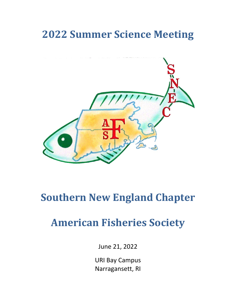# **2022 Summer Science Meeting**



# **Southern New England Chapter**

# **American Fisheries Society**

June 21, 2022

URI Bay Campus Narragansett, RI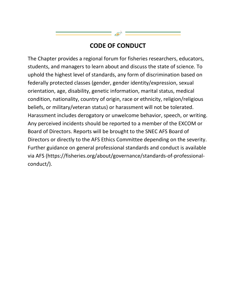## **CODE OF CONDUCT**

The Chapter provides a regional forum for fisheries researchers, educators, students, and managers to learn about and discuss the state of science. To uphold the highest level of standards, any form of discrimination based on federally protected classes (gender, gender identity/expression, sexual orientation, age, disability, genetic information, marital status, medical condition, nationality, country of origin, race or ethnicity, religion/religious beliefs, or military/veteran status) or harassment will not be tolerated. Harassment includes derogatory or unwelcome behavior, speech, or writing. Any perceived incidents should be reported to a member of the EXCOM or Board of Directors. Reports will be brought to the SNEC AFS Board of Directors or directly to the AFS Ethics Committee depending on the severity. Further guidance on general professional standards and conduct is available via AFS (https://fisheries.org/about/governance/standards-of-professionalconduct/).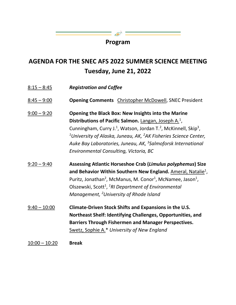## **Program**

 $=$   $\mathbb{R}$ 

## **AGENDA FOR THE SNEC AFS 2022 SUMMER SCIENCE MEETING Tuesday, June 21, 2022**

| $8:15 - 8:45$   | <b>Registration and Coffee</b>                                                                                                                                                                                                                                                                                                                                                                                                                |
|-----------------|-----------------------------------------------------------------------------------------------------------------------------------------------------------------------------------------------------------------------------------------------------------------------------------------------------------------------------------------------------------------------------------------------------------------------------------------------|
| $8:45 - 9:00$   | <b>Opening Comments</b> Christopher McDowell, SNEC President                                                                                                                                                                                                                                                                                                                                                                                  |
| $9:00 - 9:20$   | <b>Opening the Black Box: New Insights into the Marine</b><br>Distributions of Pacific Salmon. Langan, Joseph $A1$ ,<br>Cunningham, Curry J. <sup>1</sup> , Watson, Jordan T. <sup>2</sup> , McKinnell, Skip <sup>3</sup> ,<br><sup>1</sup> University of Alaska, Juneau, AK, <sup>2</sup> AK Fisheries Science Center,<br>Auke Bay Laboratories, Juneau, AK, <sup>3</sup> Salmoforsk International<br>Environmental Consulting, Victoria, BC |
| $9:20 - 9:40$   | Assessing Atlantic Horseshoe Crab (Limulus polyphemus) Size<br>and Behavior Within Southern New England. Ameral, Natalie <sup>1</sup> ,<br>Puritz, Jonathan <sup>2</sup> , McManus, M. Conor <sup>1</sup> , McNamee, Jason <sup>1</sup> ,<br>Olszewski, Scott <sup>1</sup> , <sup>1</sup> RI Department of Environmental<br>Management, <sup>2</sup> University of Rhode Island                                                               |
| $9:40 - 10:00$  | Climate-Driven Stock Shifts and Expansions in the U.S.<br>Northeast Shelf: Identifying Challenges, Opportunities, and<br><b>Barriers Through Fishermen and Manager Perspectives.</b><br>Swetz, Sophie A.* University of New England                                                                                                                                                                                                           |
| $10:00 - 10:20$ | <b>Break</b>                                                                                                                                                                                                                                                                                                                                                                                                                                  |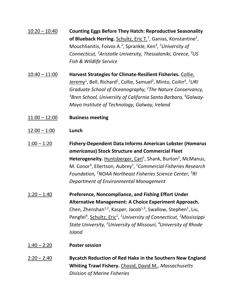| $10:20 - 10:40$ | <b>Counting Eggs Before They Hatch: Reproductive Seasonality</b><br>of Blueback Herring. Schultz, Eric T. <sup>1</sup> , Ganias, Konstantine <sup>2</sup> ,<br>Mouchlianitis, Foivos A. <sup>2</sup> , Sprankle, Ken <sup>3</sup> , <sup>1</sup> University of<br>Connecticut, <sup>2</sup> Aristotle University, Thessaloniki, Greece, <sup>3</sup> US<br>Fish & Wildlife Service                                                                      |
|-----------------|---------------------------------------------------------------------------------------------------------------------------------------------------------------------------------------------------------------------------------------------------------------------------------------------------------------------------------------------------------------------------------------------------------------------------------------------------------|
| $10:40 - 11:00$ | Harvest Strategies for Climate-Resilient Fisheries. Collie,<br><u>Jeremy</u> <sup>1</sup> , Bell, Richard <sup>2</sup> , Collie, Samuel <sup>3</sup> , Minto, Coilin <sup>4</sup> , <sup>1</sup> URI<br>Graduate School of Oceanography, <sup>2</sup> The Nature Conservancy,<br><sup>3</sup> Bren School, University of California Santa Barbara, <sup>4</sup> Galway-<br>Mayo Institute of Technology, Galway, Ireland                                |
| $11:00 - 12:00$ | <b>Business meeting</b>                                                                                                                                                                                                                                                                                                                                                                                                                                 |
| $12:00 - 1:00$  | Lunch                                                                                                                                                                                                                                                                                                                                                                                                                                                   |
| $1:00 - 1:20$   | <b>Fishery-Dependent Data Informs American Lobster (Homarus</b><br>americanus) Stock Structure and Commercial Fleet<br>Heterogeneity. Huntsberger, Carl <sup>1</sup> , Shank, Burton <sup>2</sup> , McManus,<br>M. Conor <sup>3</sup> , Ellertson, Aubrey <sup>1</sup> , <sup>1</sup> Commercial Fisheries Research<br>Foundation, <sup>2</sup> NOAA Northeast Fisheries Science Center, <sup>3</sup> RI<br>Department of Environmental Management      |
| $1:20 - 1:40$   | Preference, Noncompliance, and Fishing Effort Under<br>Alternative Management: A Choice Experiment Approach.<br>Chen, Zhenshan <sup>1,2</sup> , Kasper, Jacob <sup>1,3</sup> , Swallow, Stephen <sup>1</sup> , Liu,<br>Pengfei <sup>4</sup> , Schultz, Eric <sup>1</sup> , <sup>1</sup> University of Connecticut, <sup>2</sup> Mississippi<br>State University, <sup>3</sup> University of Missouri, <sup>4</sup> University of Rhode<br><b>Island</b> |
| $1:40 - 2:20$   | <b>Poster session</b>                                                                                                                                                                                                                                                                                                                                                                                                                                   |
| $2:20 - 2:40$   | Bycatch Reduction of Red Hake in the Southern New England<br>Whiting Trawl Fishery. Chosid, David M., Massachusetts                                                                                                                                                                                                                                                                                                                                     |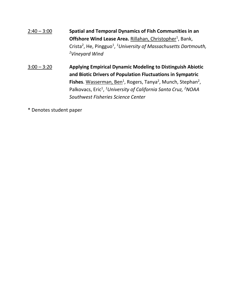| $2:40 - 3:00$ | Spatial and Temporal Dynamics of Fish Communities in an                                              |
|---------------|------------------------------------------------------------------------------------------------------|
|               | <b>Offshore Wind Lease Area. Rillahan, Christopher<sup>1</sup>, Bank,</b>                            |
|               | Crista <sup>2</sup> , He, Pingguo <sup>1</sup> , <sup>1</sup> University of Massachusetts Dartmouth, |
|               | <sup>2</sup> Vineyard Wind                                                                           |
|               |                                                                                                      |

3:00 – 3:20 **Applying Empirical Dynamic Modeling to Distinguish Abiotic and Biotic Drivers of Population Fluctuations in Sympatric**  Fishes. Wasserman, Ben<sup>1</sup>, Rogers, Tanya<sup>2</sup>, Munch, Stephan<sup>2</sup>, Palkovacs, Eric<sup>1</sup>, <sup>1</sup>University of California Santa Cruz, <sup>2</sup>NOAA *Southwest Fisheries Science Center*

\* Denotes student paper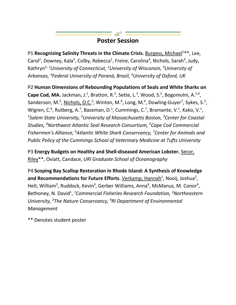## **Poster Session**

P1 Recognizing Salinity Threats in the Climate Crisis. Burgess, Michael<sup>1\*\*</sup>, Lee, Carol<sup>2</sup>, Downey, Kala<sup>3</sup>, Colby, Rebecca<sup>1</sup>, Freire, Carolina<sup>4</sup>, Nichols, Sarah<sup>5</sup>, Judy, Kathryn<sup>3, 1</sup>University of Connecticut, <sup>2</sup>University of Wisconsin, <sup>3</sup>University of *Arkansas, 4 Federal University of Paraná, Brazil, 5 University of Oxford, UK*

P2 **Human Dimensions of Rebounding Populations of Seals and White Sharks on Cape Cod, MA.** Jackman, J.<sup>1</sup>, Bratton, R.<sup>2</sup>, Sette, L.<sup>3</sup>, Wood, S.<sup>2</sup>, Bogomolni, A.<sup>1,4</sup>, Sanderson, M.<sup>5</sup>, Nichols, O.C.<sup>3</sup>, Winton, M.<sup>6</sup>, Long, M.<sup>6</sup>, Dowling-Guyer<sup>7</sup>, Sykes, S.<sup>5</sup>, Wigren, C.<sup>6</sup>, Rutberg, A.<sup>7</sup>, Baseman, D.<sup>1</sup>, Cummings, C.<sup>7</sup>, Bramante, V.<sup>1</sup>, Kako, V.<sup>1</sup>, <sup>1</sup>Salem State University, <sup>2</sup>University of Massachusetts Boston, <sup>3</sup>Center for Coastal *Studies, 4 Northwest Atlantic Seal Research Consortium, 5 Cape Cod Commercial Fishermen's Alliance, 6 Atlantic White Shark Conservancy, 7 Center for Animals and Public Policy of the Cummings School of Veterinary Medicine at Tufts University*

P3 **Energy Budgets on Healthy and Shell-diseased American Lobster.** Secor, Riley\*\*, Oviatt, Candace, *URI Graduate School of Oceanography*

P4 **Scoping Bay Scallop Restoration in Rhode Island: A Synthesis of Knowledge**  and Recommendations for Future Efforts. <u>Verkamp, Hannah</u><sup>1</sup>, Nooij, Joshua<sup>2</sup>, Helt, William<sup>3</sup>, Ruddock, Kevin<sup>3</sup>, Gerber Williams, Anna<sup>4</sup>, McManus, M. Conor<sup>4</sup>, Bethoney, N. David<sup>1</sup>, <sup>1</sup>Commercial Fisheries Research Foundation, <sup>2</sup>Northeastern *University, 3 The Nature Conservancy, 4 RI Department of Environmental Management*

\*\* Denotes student poster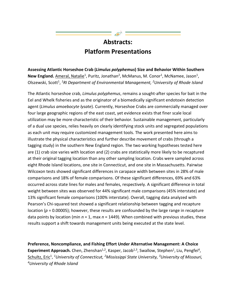## **Abstracts: Platform Presentations**

**Assessing Atlantic Horseshoe Crab (***Limulus polyphemus***) Size and Behavior Within Southern**  New England. Ameral, Natalie<sup>1</sup>, Puritz, Jonathan<sup>2</sup>, McManus, M. Conor<sup>1</sup>, McNamee, Jason<sup>1</sup>, Olszewski, Scott<sup>1</sup>, <sup>1</sup>RI Department of Environmental Management, <sup>2</sup>University of Rhode Island

The Atlantic horseshoe crab, *Limulus polyphemus*, remains a sought-after species for bait in the Eel and Whelk fisheries and as the originator of a biomedically significant endotoxin detection agent (*Limulus amoebocyte lysate*). Currently, Horseshoe Crabs are commercially managed over four large geographic regions of the east coast, yet evidence exists that finer scale local utilization may be more characteristic of their behavior. Sustainable management, particularly of a dual use species, relies heavily on clearly identifying stock units and segregated populations as each unit may require customized management tools. The work presented here aims to illustrate the physical characteristics and further describe movement of crabs (through a tagging study) in the southern New England region. The two working hypotheses tested here are (1) crab size varies with location and (2) crabs are statistically more likely to be recaptured at their original tagging location than any other sampling location. Crabs were sampled across eight Rhode Island locations, one site in Connecticut, and one site in Massachusetts. Pairwise Wilcoxon tests showed significant differences in carapace width between sites in 28% of male comparisons and 18% of female comparisons. Of these significant differences, 69% and 63% occurred across state lines for males and females, respectively. A significant difference in total weight between sites was observed for 44% significant male comparisons (45% interstate) and 13% significant female comparisons (100% interstate). Overall, tagging data analyzed with Pearson's Chi-squared test showed a significant relationship between tagging and recapture location (*p* = 0.00005); however, these results are confounded by the large range in recapture data points by location (min *n* = 1, max *n* = 1449). When combined with previous studies, these results support a shift towards management units being executed at the state level.

**Preference, Noncompliance, and Fishing Effort Under Alternative Management: A Choice Experiment Approach.** Chen, Zhenshan<sup>1,2</sup>, Kasper, Jacob<sup>1,3</sup>, Swallow, Stephen<sup>1</sup>, Liu, Pengfei<sup>4</sup>, Schultz, Eric<sup>1</sup>, <sup>1</sup>University of Connecticut, <sup>2</sup>Mississippi State University, <sup>3</sup>University of Missouri, *4University of Rhode Island*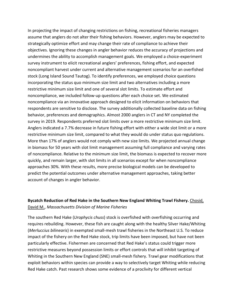In projecting the impact of changing restrictions on fishing, recreational fisheries managers assume that anglers do not alter their fishing behaviors. However, anglers may be expected to strategically optimize effort and may change their rate of compliance to achieve their objectives. Ignoring these changes in angler behavior reduces the accuracy of projections and undermines the ability to accomplish management goals. We employed a choice-experiment survey instrument to elicit recreational anglers' preferences, fishing effort, and expected noncompliant harvest under current and alternative management scenarios for an overfished stock (Long Island Sound Tautog). To identify preferences, we employed choice questions incorporating the status quo minimum size limit and two alternatives including a more restrictive minimum size limit and one of several slot limits. To estimate effort and noncompliance, we included follow-up questions after each choice set. We estimated noncompliance via an innovative approach designed to elicit information on behaviors that respondents are sensitive to disclose. The survey additionally collected baseline data on fishing behavior, preferences and demographics. Almost 2000 anglers in CT and NY completed the survey in 2019. Respondents preferred slot limits over a more restrictive minimum size limit. Anglers indicated a 7.7% decrease in future fishing effort with either a wide slot limit or a more restrictive minimum size limit, compared to what they would do under status quo regulations. More than 17% of anglers would not comply with new size limits. We projected annual change in biomass for 50 years with slot limit management assuming full compliance and varying rates of noncompliance. Relative to the minimum size limit, the biomass is expected to recover more quickly, and remain larger, with slot limits in all scenarios except for when noncompliance approaches 30%. With these results, more precise biological models can be developed to predict the potential outcomes under alternative management approaches, taking better account of changes in angler behavior.

### **Bycatch Reduction of Red Hake in the Southern New England Whiting Trawl Fishery.** Chosid, David M., *Massachusetts Division of Marine Fisheries*

The southern Red Hake (*Urophycis chuss*) stock is overfished with overfishing occurring and requires rebuilding. However, these fish are caught along with the healthy Silver Hake/Whiting (*Merluccius bilinearis*) in exempted small-mesh trawl fisheries in the Northeast U.S. To reduce impact of the fishery on the Red Hake stock, trip limits have been imposed, but have not been particularly effective. Fishermen are concerned that Red Hake's status could trigger more restrictive measures beyond possession limits or effort controls that will inhibit targeting of Whiting in the Southern New England (SNE) small-mesh fishery. Trawl gear modifications that exploit behaviors within species can provide a way to selectively target Whiting while reducing Red Hake catch. Past research shows some evidence of a proclivity for different vertical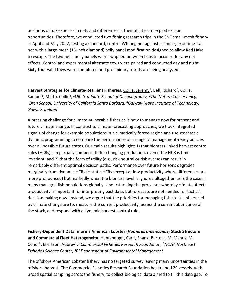positions of hake species in nets and differences in their abilities to exploit escape opportunities. Therefore, we conducted two fishing research trips in the SNE small-mesh fishery in April and May 2022, testing a standard, control Whiting net against a similar, experimental net with a large-mesh (15-inch diamond) belly panel modification designed to allow Red Hake to escape. The two nets' belly panels were swapped between trips to account for any net effects. Control and experimental alternate tows were paired and conducted day and night. Sixty-four valid tows were completed and preliminary results are being analyzed.

Harvest Strategies for Climate-Resilient Fisheries. Collie, Jeremy<sup>1</sup>, Bell, Richard<sup>2</sup>, Collie, Samuel3, Minto, Coilin4, *1URI Graduate School of Oceanography, 2The Nature Conservancy, 3Bren School, University of California Santa Barbara, 4Galway-Mayo Institute of Technology, Galway, Ireland*

A pressing challenge for climate-vulnerable fisheries is how to manage now for present and future climate change. In contrast to climate forecasting approaches, we track integrated signals of change for example populations in a climatically forced region and use stochastic dynamic programming to compare the performance of a range of management-ready policies over all possible future states. Our main results highlight: 1) that biomass-linked harvest control rules (HCRs) can partially compensate for changing production, even if the HCR is time invariant; and 2) that the form of utility (e.g., risk neutral or risk averse) can result in remarkably different optimal decision paths. Performance over future horizons degrades marginally from dynamic HCRs to static HCRs (except at low productivity where differences are more pronounced) but markedly when the biomass level is ignored altogether, as is the case in many managed fish populations globally. Understanding the processes whereby climate affects productivity is important for interpreting past data, but forecasts are not needed for tactical decision making now. Instead, we argue that the priorities for managing fish stocks influenced by climate change are to: measure the current productivity, assess the current abundance of the stock, and respond with a dynamic harvest control rule.

**Fishery-Dependent Data Informs American Lobster (***Homarus americanus***) Stock Structure**  and Commercial Fleet Heterogeneity. Huntsberger, Carl<sup>1</sup>, Shank, Burton<sup>2</sup>, McManus, M. Conor3, Ellertson, Aubrey1, *1Commercial Fisheries Research Foundation, 2NOAA Northeast Fisheries Science Center, 3RI Department of Environmental Management*

The offshore American Lobster fishery has no targeted survey leaving many uncertainties in the offshore harvest. The Commercial Fisheries Research Foundation has trained 29 vessels, with broad spatial sampling across the fishery, to collect biological data aimed to fill this data gap. To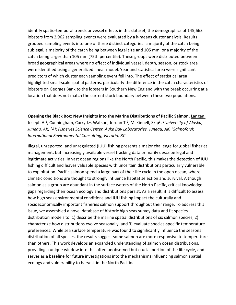identify spatio-temporal trends or vessel effects in this dataset, the demographics of 145,663 lobsters from 2,962 sampling events were evaluated by a k-means cluster analysis. Results grouped sampling events into one of three distinct categories: a majority of the catch being sublegal, a majority of the catch being between legal size and 105 mm, or a majority of the catch being larger than 105 mm (75th percentile). These groups were distributed between broad geographical areas where no effect of individual vessel, depth, season, or stock area were identified using a generalized linear model. Year and statistical area were significant predictors of which cluster each sampling event fell into. The effect of statistical area highlighted small-scale spatial patterns, particularly the difference in the catch characteristics of lobsters on Georges Bank to the lobsters in Southern New England with the break occurring at a location that does not match the current stock boundary between these two populations.

### **Opening the Black Box: New Insights into the Marine Distributions of Pacific Salmon.** Langan,

Joseph A.1, Cunningham, Curry J.1, Watson, Jordan T. 2, McKinnell, Skip3, *1University of Alaska, Juneau, AK, 2AK Fisheries Science Center, Auke Bay Laboratories, Juneau, AK, 3Salmoforsk International Environmental Consulting, Victoria, BC*

Illegal, unreported, and unregulated (IUU) fishing presents a major challenge for global fisheries management, but increasingly available vessel tracking data primarily describe legal and legitimate activities. In vast ocean regions like the North Pacific, this makes the detection of IUU fishing difficult and leaves valuable species with uncertain distributions particularly vulnerable to exploitation. Pacific salmon spend a large part of their life cycle in the open ocean, where climatic conditions are thought to strongly influence habitat selection and survival. Although salmon as a group are abundant in the surface waters of the North Pacific, critical knowledge gaps regarding their ocean ecology and distributions persist. As a result, it is difficult to assess how high seas environmental conditions and IUU fishing impact the culturally and socioeconomically important fisheries salmon support throughout their range. To address this issue, we assembled a novel database of historic high seas survey data and fit species distribution models to: 1) describe the marine spatial distributions of six salmon species, 2) characterize how distributions evolve seasonally, and 3) evaluate species-specific temperature preferences. While sea surface temperature was found to significantly influence the seasonal distribution of all species, the results suggest some salmon are more responsive to temperature than others. This work develops an expanded understanding of salmon ocean distributions, providing a unique window into this often unobserved but crucial portion of the life cycle, and serves as a baseline for future investigations into the mechanisms influencing salmon spatial ecology and vulnerability to harvest in the North Pacific.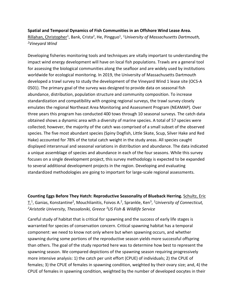### **Spatial and Temporal Dynamics of Fish Communities in an Offshore Wind Lease Area.**

Rillahan, Christopher<sup>1</sup>, Bank, Crista<sup>2</sup>, He, Pingguo<sup>1</sup>, <sup>1</sup>University of Massachusetts Dartmouth, *2Vineyard Wind*

Developing fisheries monitoring tools and techniques are vitally important to understanding the impact wind energy development will have on local fish populations. Trawls are a general tool for assessing the biological communities along the seafloor and are widely used by institutions worldwide for ecological monitoring. In 2019, the University of Massachusetts Dartmouth developed a trawl survey to study the development of the Vineyard Wind 1 lease site (OCS-A 0501). The primary goal of the survey was designed to provide data on seasonal fish abundance, distribution, population structure and community composition. To increase standardization and compatibility with ongoing regional surveys, the trawl survey closely emulates the regional Northeast Area Monitoring and Assessment Program (NEAMAP). Over three years this program has conducted 400 tows through 10 seasonal surveys. The catch data obtained shows a dynamic area with a diversity of marine species. A total of 57 species were collected; however, the majority of the catch was comprised of a small subset of the observed species. The five most abundant species (Spiny Dogfish, Little Skate, Scup, Silver Hake and Red Hake) accounted for 78% of the total catch weight in the study areas. All species caught displayed interannual and seasonal variations in distribution and abundance. The data indicated a unique assemblage of species and abundance in each of the four seasons. While this survey focuses on a single development project, this survey methodology is expected to be expanded to several additional development projects in the region. Developing and evaluating standardized methodologies are going to important for large-scale regional assessments.

**Counting Eggs Before They Hatch: Reproductive Seasonality of Blueback Herring.** Schultz, Eric T.1, Ganias, Konstantine2 , Mouchlianitis, Foivos A.2, Sprankle, Ken3, *1University of Connecticut, 2Aristotle University, Thessaloniki, Greece 3US Fish & Wildlife Service*

Careful study of habitat that is critical for spawning and the success of early life stages is warranted for species of conservation concern. Critical spawning habitat has a temporal component: we need to know not only where but when spawning occurs, and whether spawning during some portions of the reproductive season yields more successful offspring than others. The goal of the study reported here was to determine how best to represent the spawning season. We compared depictions of the spawning season requiring progressively more intensive analysis: 1) the catch per unit effort (CPUE) of individuals; 2) the CPUE of females; 3) the CPUE of females in spawning condition, weighted by their ovary size; and, 4) the CPUE of females in spawning condition, weighted by the number of developed oocytes in their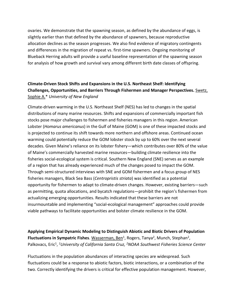ovaries. We demonstrate that the spawning season, as defined by the abundance of eggs, is slightly earlier than that defined by the abundance of spawners, because reproductive allocation declines as the season progresses. We also find evidence of migratory contingents and differences in the migration of repeat vs. first-time spawners. Ongoing monitoring of Blueback Herring adults will provide a useful baseline representation of the spawning season for analysis of how growth and survival vary among different birth date classes of offspring.

## **Climate-Driven Stock Shifts and Expansions in the U.S. Northeast Shelf: Identifying Challenges, Opportunities, and Barriers Through Fishermen and Manager Perspectives.** Swetz, Sophie A.\* *University of New England*

Climate-driven warming in the U.S. Northeast Shelf (NES) has led to changes in the spatial distributions of many marine resources. Shifts and expansions of commercially important fish stocks pose major challenges to fishermen and fisheries managers in this region. American Lobster (*Homarus americanus*) in the Gulf of Maine (GOM) is one of these impacted stocks and is projected to continue its shift towards more northern and offshore areas. Continued ocean warming could potentially reduce the GOM lobster stock by up to 60% over the next several decades. Given Maine's reliance on its lobster fishery—which contributes over 80% of the value of Maine's commercially harvested marine resources—building climate resilience into the fisheries social-ecological system is critical. Southern New England (SNE) serves as an example of a region that has already experienced much of the changes posed to impact the GOM. Through semi-structured interviews with SNE and GOM fishermen and a focus group of NES fisheries managers, Black Sea Bass (*Centropristis striata*) was identified as a potential opportunity for fishermen to adapt to climate-driven changes. However, existing barriers—such as permitting, quota allocations, and bycatch regulations—prohibit the region's fishermen from actualizing emerging opportunities. Results indicated that these barriers are not insurmountable and implementing "social-ecological management" approaches could provide viable pathways to facilitate opportunities and bolster climate resilience in the GOM.

**Applying Empirical Dynamic Modeling to Distinguish Abiotic and Biotic Drivers of Population Fluctuations in Sympatric Fishes**. Wasserman, Ben<sup>1</sup>, Rogers, Tanya<sup>2</sup>, Munch, Stephan<sup>2</sup>, Palkovacs, Eric<sup>1</sup>, <sup>1</sup>University of California Santa Cruz, <sup>2</sup>NOAA Southwest Fisheries Science Center

Fluctuations in the population abundances of interacting species are widespread. Such fluctuations could be a response to abiotic factors, biotic interactions, or a combination of the two. Correctly identifying the drivers is critical for effective population management. However,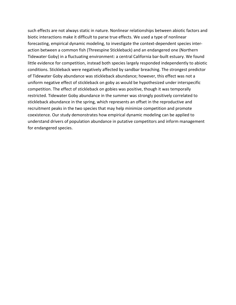such effects are not always static in nature. Nonlinear relationships between abiotic factors and biotic interactions make it difficult to parse true effects. We used a type of nonlinear forecasting, empirical dynamic modeling, to investigate the context-dependent species interaction between a common fish (Threespine Stickleback) and an endangered one (Northern Tidewater Goby) in a fluctuating environment: a central California bar-built estuary. We found little evidence for competition, instead both species largely responded independently to abiotic conditions. Stickleback were negatively affected by sandbar breaching. The strongest predictor of Tidewater Goby abundance was stickleback abundance; however, this effect was not a uniform negative effect of stickleback on goby as would be hypothesized under interspecific competition. The effect of stickleback on gobies was positive, though it was temporally restricted. Tidewater Goby abundance in the summer was strongly positively correlated to stickleback abundance in the spring, which represents an offset in the reproductive and recruitment peaks in the two species that may help minimize competition and promote coexistence. Our study demonstrates how empirical dynamic modeling can be applied to understand drivers of population abundance in putative competitors and inform management for endangered species.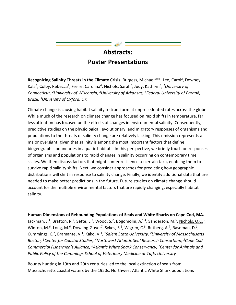# **Abstracts: Poster Presentations**

**Recognizing Salinity Threats in the Climate Crisis.** Burgess, Michael<sup>1\*\*</sup>, Lee, Carol<sup>2</sup>, Downey, Kala<sup>3</sup>, Colby, Rebecca<sup>1</sup>, Freire, Carolina<sup>4</sup>, Nichols, Sarah<sup>5</sup>, Judy, Kathryn<sup>3</sup>, <sup>1</sup>University of *Connecticut, 2University of Wisconsin, 3University of Arkansas, 4Federal University of Paraná, Brazil, 5University of Oxford, UK*

Climate change is causing habitat salinity to transform at unprecedented rates across the globe. While much of the research on climate change has focused on rapid shifts in temperature, far less attention has focused on the effects of changes in environmental salinity. Consequently, predictive studies on the physiological, evolutionary, and migratory responses of organisms and populations to the threats of salinity change are relatively lacking. This omission represents a major oversight, given that salinity is among the most important factors that define biogeographic boundaries in aquatic habitats. In this perspective, we briefly touch on responses of organisms and populations to rapid changes in salinity occurring on contemporary time scales. We then discuss factors that might confer resilience to certain taxa, enabling them to survive rapid salinity shifts. Next, we consider approaches for predicting how geographic distributions will shift in response to salinity change. Finally, we identify additional data that are needed to make better predictions in the future. Future studies on climate change should account for the multiple environmental factors that are rapidly changing, especially habitat salinity.

### **Human Dimensions of Rebounding Populations of Seals and White Sharks on Cape Cod, MA.**

Jackman, J.<sup>1</sup>, Bratton, R.<sup>2</sup>, Sette, L.<sup>3</sup>, Wood, S.<sup>2</sup>, Bogomolni, A.<sup>1,4</sup>, Sanderson, M.<sup>5</sup>, <u>Nichols, O.C.</u><sup>3</sup>, Winton, M.<sup>6</sup>, Long, M.<sup>6</sup>, Dowling-Guyer<sup>7</sup>, Sykes, S.<sup>5</sup>, Wigren, C.<sup>6</sup>, Rutberg, A.<sup>7</sup>, Baseman, D.<sup>1</sup>, Cummings, C.7, Bramante, V.1, Kako, V.1, *1Salem State University, 2University of Massachusetts Boston, 3Center for Coastal Studies, 4Northwest Atlantic Seal Research Consortium, 5Cape Cod Commercial Fishermen's Alliance, 6Atlantic White Shark Conservancy, 7Center for Animals and Public Policy of the Cummings School of Veterinary Medicine at Tufts University*

Bounty hunting in 19th and 20th centuries led to the local extinction of seals from Massachusetts coastal waters by the 1950s. Northwest Atlantic White Shark populations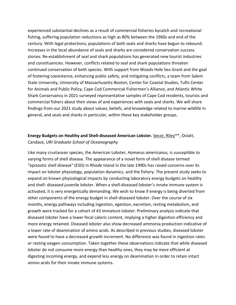experienced substantial declines as a result of commercial fisheries bycatch and recreational fishing, suffering population reductions as high as 80% between the 1960s and end of the century. With legal protections, populations of both seals and sharks have begun to rebound. Increases in the local abundance of seals and sharks are considered conservation success stories. Re-establishment of seal and shark populations has generated new tourist industries and constituencies. However, conflicts related to seal and shark populations threaten continued conservation of both species. With support from Woods Hole Sea Grant and the goal of fostering coexistence, enhancing public safety, and mitigating conflicts, a team from Salem State University, University of Massachusetts-Boston, Center for Coastal Studies, Tufts Center for Animals and Public Policy, Cape Cod Commercial Fishermen's Alliance, and Atlantic White Shark Conservancy in 2021 surveyed representative samples of Cape Cod residents, tourists and commercial fishers about their views of and experiences with seals and sharks. We will share findings from our 2021 study about values, beliefs, and knowledge related to marine wildlife in general, and seals and sharks in particular, within these key stakeholder groups.

### **Energy Budgets on Healthy and Shell-diseased American Lobster.** Secor, Riley\*\*, Oviatt, Candace, *URI Graduate School of Oceanography*

Like many crustacean species, the American Lobster, *Homarus americanus,* is susceptible to varying forms of shell disease. The appearance of a novel form of shell disease termed "epizootic shell disease" (ESD) in Rhode Island in the late 1990s has raised concerns over its impact on lobster physiology, population dynamics, and the fishery. The present study seeks to expand on known physiological impacts by conducting laboratory energy budgets on healthy and shell- diseased juvenile lobster. When a shell-diseased lobster's innate immune system is activated, it is very energetically demanding. We wish to know if energy is being diverted from other components of the energy budget in shell-diseased lobster. Over the course of six months, energy pathways including ingestion, egestion, excretion, resting metabolism, and growth were tracked for a cohort of 43 immature lobster. Preliminary analysis indicate that diseased lobster have a lower fecal caloric content, implying a higher digestion efficiency and more energy retained. Diseased lobster also show decreased ammonia production indicative of a lower rate of deamination of amino acids. As described in previous studies, diseased lobster were found to have a decreased growth increment. No difference was found in ingestion rates or resting oxygen consumption. Taken together these observations indicate that while diseased lobster do not consume more energy than healthy ones, they may be more efficient at digesting incoming energy, and expend less energy on deamination in order to retain intact amino acids for their innate immune systems.